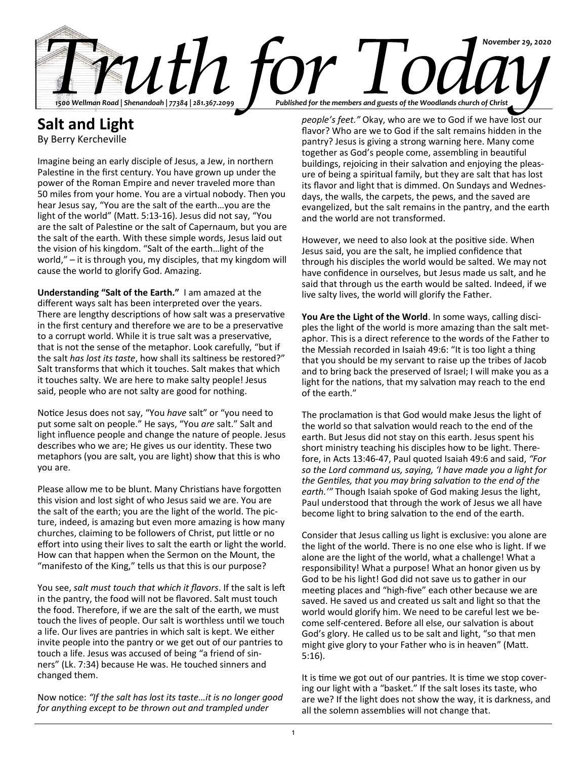

## **Salt and Light**

By Berry Kercheville

Imagine being an early disciple of Jesus, a Jew, in northern Palestine in the first century. You have grown up under the power of the Roman Empire and never traveled more than 50 miles from your home. You are a virtual nobody. Then you hear Jesus say, "You are the salt of the earth…you are the light of the world" (Matt. 5:13-16). Jesus did not say, "You are the salt of Palestine or the salt of Capernaum, but you are the salt of the earth. With these simple words, Jesus laid out the vision of his kingdom. "Salt of the earth…light of the world," – it is through you, my disciples, that my kingdom will cause the world to glorify God. Amazing.

**Understanding "Salt of the Earth."** I am amazed at the different ways salt has been interpreted over the years. There are lengthy descriptions of how salt was a preservative in the first century and therefore we are to be a preservative to a corrupt world. While it is true salt was a preservative, that is not the sense of the metaphor. Look carefully, "but if the salt *has lost its taste*, how shall its saltiness be restored?" Salt transforms that which it touches. Salt makes that which it touches salty. We are here to make salty people! Jesus said, people who are not salty are good for nothing.

Notice Jesus does not say, "You *have* salt" or "you need to put some salt on people." He says, "You *are* salt." Salt and light influence people and change the nature of people. Jesus describes who we are; He gives us our identity. These two metaphors (you are salt, you are light) show that this is who you are.

Please allow me to be blunt. Many Christians have forgotten this vision and lost sight of who Jesus said we are. You are the salt of the earth; you are the light of the world. The picture, indeed, is amazing but even more amazing is how many churches, claiming to be followers of Christ, put little or no effort into using their lives to salt the earth or light the world. How can that happen when the Sermon on the Mount, the "manifesto of the King," tells us that this is our purpose?

You see, *salt must touch that which it flavors*. If the salt is left in the pantry, the food will not be flavored. Salt must touch the food. Therefore, if we are the salt of the earth, we must touch the lives of people. Our salt is worthless until we touch a life. Our lives are pantries in which salt is kept. We either invite people into the pantry or we get out of our pantries to touch a life. Jesus was accused of being "a friend of sinners" (Lk. 7:34) because He was. He touched sinners and changed them.

Now notice: *"If the salt has lost its taste…it is no longer good for anything except to be thrown out and trampled under* 

*people's feet."* Okay, who are we to God if we have lost our flavor? Who are we to God if the salt remains hidden in the pantry? Jesus is giving a strong warning here. Many come together as God's people come, assembling in beautiful buildings, rejoicing in their salvation and enjoying the pleasure of being a spiritual family, but they are salt that has lost its flavor and light that is dimmed. On Sundays and Wednesdays, the walls, the carpets, the pews, and the saved are evangelized, but the salt remains in the pantry, and the earth and the world are not transformed.

However, we need to also look at the positive side. When Jesus said, you are the salt, he implied confidence that through his disciples the world would be salted. We may not have confidence in ourselves, but Jesus made us salt, and he said that through us the earth would be salted. Indeed, if we live salty lives, the world will glorify the Father.

**You Are the Light of the World**. In some ways, calling disciples the light of the world is more amazing than the salt metaphor. This is a direct reference to the words of the Father to the Messiah recorded in Isaiah 49:6: "It is too light a thing that you should be my servant to raise up the tribes of Jacob and to bring back the preserved of Israel; I will make you as a light for the nations, that my salvation may reach to the end of the earth."

The proclamation is that God would make Jesus the light of the world so that salvation would reach to the end of the earth. But Jesus did not stay on this earth. Jesus spent his short ministry teaching his disciples how to be light. Therefore, in Acts 13:46-47, Paul quoted Isaiah 49:6 and said, *"For so the Lord command us, saying, 'I have made you a light for the Gentiles, that you may bring salvation to the end of the earth.'"* Though Isaiah spoke of God making Jesus the light, Paul understood that through the work of Jesus we all have become light to bring salvation to the end of the earth.

Consider that Jesus calling us light is exclusive: you alone are the light of the world. There is no one else who is light. If we alone are the light of the world, what a challenge! What a responsibility! What a purpose! What an honor given us by God to be his light! God did not save us to gather in our meeting places and "high-five" each other because we are saved. He saved us and created us salt and light so that the world would glorify him. We need to be careful lest we become self-centered. Before all else, our salvation is about God's glory. He called us to be salt and light, "so that men might give glory to your Father who is in heaven" (Matt. 5:16).

It is time we got out of our pantries. It is time we stop covering our light with a "basket." If the salt loses its taste, who are we? If the light does not show the way, it is darkness, and all the solemn assemblies will not change that.